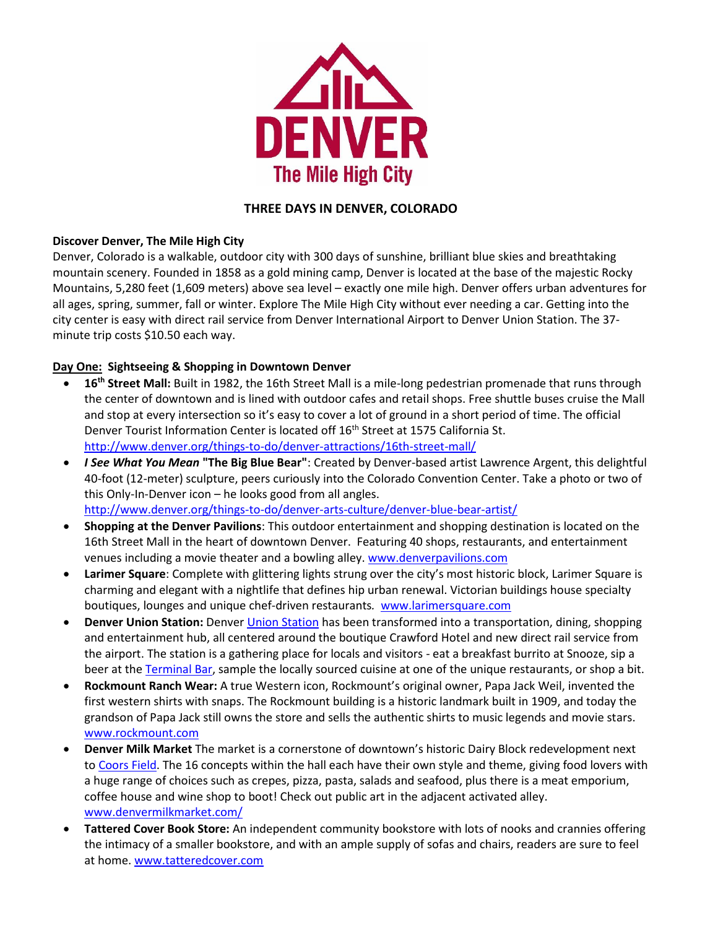

## **THREE DAYS IN DENVER, COLORADO**

## **Discover Denver, The Mile High City**

Denver, Colorado is a walkable, outdoor city with 300 days of sunshine, brilliant blue skies and breathtaking mountain scenery. Founded in 1858 as a gold mining camp, Denver is located at the base of the majestic Rocky Mountains, 5,280 feet (1,609 meters) above sea level – exactly one mile high. Denver offers urban adventures for all ages, spring, summer, fall or winter. Explore The Mile High City without ever needing a car. Getting into the city center is easy with direct rail service from Denver International Airport to Denver Union Station. The 37 minute trip costs \$10.50 each way.

## **Day One: Sightseeing & Shopping in Downtown Denver**

- **16th Street Mall:** Built in 1982, the 16th Street Mall is a mile-long pedestrian promenade that runs through the center of downtown and is lined with outdoor cafes and retail shops. Free shuttle buses cruise the Mall and stop at every intersection so it's easy to cover a lot of ground in a short period of time. The official Denver Tourist Information Center is located off 16<sup>th</sup> Street at 1575 California St. <http://www.denver.org/things-to-do/denver-attractions/16th-street-mall/>
- *I See What You Mean* **"The Big Blue Bear"**: Created by Denver-based artist Lawrence Argent, this delightful 40-foot (12-meter) sculpture, peers curiously into the Colorado Convention Center. Take a photo or two of this Only-In-Denver icon – he looks good from all angles. <http://www.denver.org/things-to-do/denver-arts-culture/denver-blue-bear-artist/>
- **Shopping at the Denver Pavilions**: This outdoor entertainment and shopping destination is located on the 16th Street Mall in the heart of downtown Denver. Featuring 40 shops, restaurants, and entertainment venues including a movie theater and a bowling alley. [www.denverpavilions.com](http://www.denverpavilions.com/)
- **Larimer Square**: Complete with glittering lights strung over the city's most historic block, Larimer Square is charming and elegant with a nightlife that defines hip urban renewal. Victorian buildings house specialty boutiques, lounges and unique chef-driven restaurants*.* [www.larimersquare.com](http://www.larimersquare.com/)
- **Denver Union Station:** Denve[r Union Station](http://www.denver.org/things-to-do/denver-attractions/union_station/) has been transformed into a transportation, dining, shopping and entertainment hub, all centered around the boutique Crawford Hotel and new direct rail service from the airport. The station is a gathering place for locals and visitors - eat a breakfast burrito at Snooze, sip a beer at the [Terminal Bar,](http://www.denver.org/listings/Terminal-Bar/12262/) sample the locally sourced cuisine at one of the unique restaurants, or shop a bit.
- **Rockmount Ranch Wear:** A true Western icon, Rockmount's original owner, Papa Jack Weil, invented the first western shirts with snaps. The Rockmount building is a historic landmark built in 1909, and today the grandson of Papa Jack still owns the store and sells the authentic shirts to music legends and movie stars. [www.rockmount.com](http://www.rockmount.com/)
- **Denver Milk Market** The market is a cornerstone of downtown's historic Dairy Block redevelopment next to [Coors Field.](https://www.denver.org/listing/coors-field-home-of-the-colorado-rockies/4340/) The 16 concepts within the hall each have their own style and theme, giving food lovers with a huge range of choices such as crepes, pizza, pasta, salads and seafood, plus there is a meat emporium, coffee house and wine shop to boot! Check out public art in the adjacent activated alley. [www.denvermilkmarket.com/](https://www.denvermilkmarket.com/)
- **Tattered Cover Book Store:** An independent community bookstore with lots of nooks and crannies offering the intimacy of a smaller bookstore, and with an ample supply of sofas and chairs, readers are sure to feel at home. [www.tatteredcover.com](http://www.tatteredcover.com/)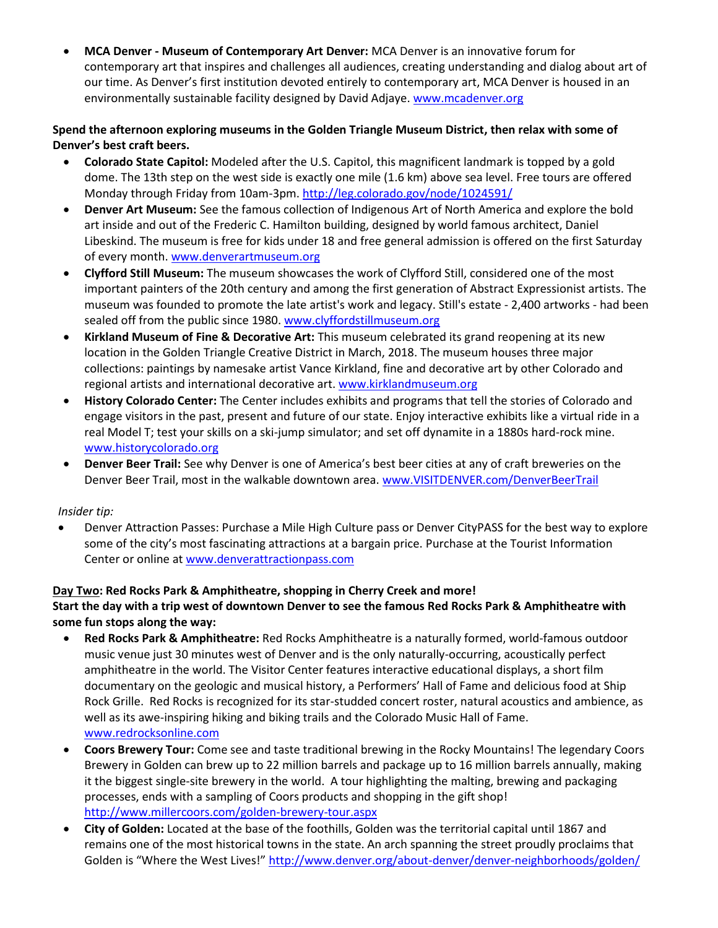• **MCA Denver - Museum of Contemporary Art Denver:** MCA Denver is an innovative forum for contemporary art that inspires and challenges all audiences, creating understanding and dialog about art of our time. As Denver's first institution devoted entirely to contemporary art, MCA Denver is housed in an environmentally sustainable facility designed by David Adjaye[. www.mcadenver.org](http://www.mcadenver.org/) 

## **Spend the afternoon exploring museums in the Golden Triangle Museum District, then relax with some of Denver's best craft beers.**

- **Colorado State Capitol:** Modeled after the U.S. Capitol, this magnificent landmark is topped by a gold dome. The 13th step on the west side is exactly one mile (1.6 km) above sea level. Free tours are offered Monday through Friday from 10am-3pm. <http://leg.colorado.gov/node/1024591/>
- **Denver Art Museum:** See the famous collection of Indigenous Art of North America and explore the bold art inside and out of the Frederic C. Hamilton building, designed by world famous architect, Daniel Libeskind. The museum is free for kids under 18 and free general admission is offered on the first Saturday of every month. www.denverartmuseum.org
- **Clyfford Still Museum:** The museum showcases the work of Clyfford Still, considered one of the most important painters of the 20th century and among the first generation of Abstract Expressionist artists. The museum was founded to promote the late artist's work and legacy. Still's estate - 2,400 artworks - had been sealed off from the public since 1980. www.clyffordstillmuseum.org
- **Kirkland Museum of Fine & Decorative Art:** This museum celebrated its grand reopening at its new location in the Golden Triangle Creative District in March, 2018. The museum houses three major collections: paintings by namesake artist Vance Kirkland, fine and decorative art by other Colorado and regional artists and international decorative art[. www.kirklandmuseum.org](http://www.kirklandmuseum.org/)
- **History Colorado Center:** The Center includes exhibits and programs that tell the stories of Colorado and engage visitors in the past, present and future of our state. Enjoy interactive exhibits like a virtual ride in a real Model T; test your skills on a ski-jump simulator; and set off dynamite in a 1880s hard-rock mine. [www.historycolorado.org](http://www.historycolorado.org/)
- **Denver Beer Trail:** See why Denver is one of America's best beer cities at any of craft breweries on the Denver Beer Trail, most in the walkable downtown area. [www.VISITDENVER.com/DenverBeerTrail](http://www.visitdenver.com/DenverBeerTrail)

## *Insider tip:*

• Denver Attraction Passes: Purchase a Mile High Culture pass or Denver CityPASS for the best way to explore some of the city's most fascinating attractions at a bargain price. Purchase at the Tourist Information Center or online at [www.denverattractionpass.com](http://www.denverattractionpass.com/) 

# **Day Two: Red Rocks Park & Amphitheatre, shopping in Cherry Creek and more!**

## **Start the day with a trip west of downtown Denver to see the famous Red Rocks Park & Amphitheatre with some fun stops along the way:**

- **Red Rocks Park & Amphitheatre:** Red Rocks Amphitheatre is a naturally formed, world-famous outdoor music venue just 30 minutes west of Denver and is the only naturally-occurring, acoustically perfect amphitheatre in the world. The Visitor Center features interactive educational displays, a short film documentary on the geologic and musical history, a Performers' Hall of Fame and delicious food at Ship Rock Grille. Red Rocks is recognized for its star-studded concert roster, natural acoustics and ambience, as well as its awe-inspiring hiking and biking trails and the Colorado Music Hall of Fame. [www.redrocksonline.com](http://www.redrocksonline.com/)
- **Coors Brewery Tour:** Come see and taste traditional brewing in the Rocky Mountains! The legendary Coors Brewery in Golden can brew up to 22 million barrels and package up to 16 million barrels annually, making it the biggest single-site brewery in the world. A tour highlighting the malting, brewing and packaging processes, ends with a sampling of Coors products and shopping in the gift shop! <http://www.millercoors.com/golden-brewery-tour.aspx>
- **City of Golden:** Located at the base of the foothills, Golden was the territorial capital until 1867 and remains one of the most historical towns in the state. An arch spanning the street proudly proclaims that Golden is "Where the West Lives!" <http://www.denver.org/about-denver/denver-neighborhoods/golden/>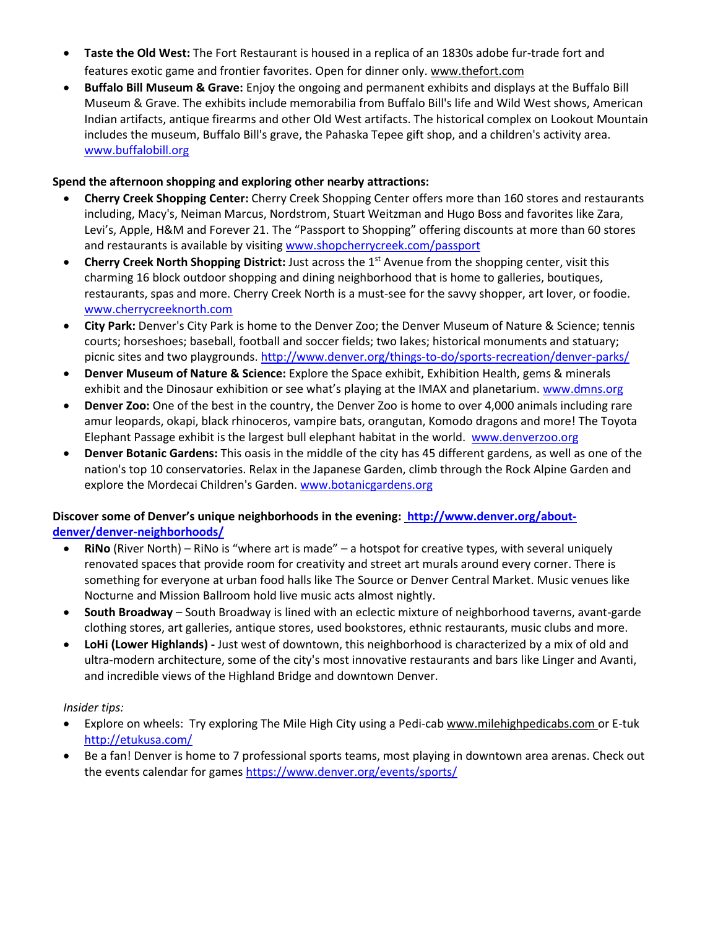- **Taste the Old West:** The Fort Restaurant is housed in a replica of an 1830s adobe fur-trade fort and features exotic game and frontier favorites. Open for dinner only. [www.thefort.com](http://www.thefort.com/)
- **Buffalo Bill Museum & Grave:** Enjoy the ongoing and permanent exhibits and displays at the Buffalo Bill Museum & Grave. The exhibits include memorabilia from Buffalo Bill's life and Wild West shows, American Indian artifacts, antique firearms and other Old West artifacts. The historical complex on Lookout Mountain includes the museum, Buffalo Bill's grave, the Pahaska Tepee gift shop, and a children's activity area. [www.buffalobill.org](http://www.buffalobill.org/)

### **Spend the afternoon shopping and exploring other nearby attractions:**

- **Cherry Creek Shopping Center:** Cherry Creek Shopping Center offers more than 160 stores and restaurants including, Macy's, Neiman Marcus, Nordstrom, Stuart Weitzman and Hugo Boss and favorites like Zara, Levi's, Apple, H&M and Forever 21. The "Passport to Shopping" offering discounts at more than 60 stores and restaurants is available by visiting [www.shopcherrycreek.com/passport](http://www.shopcherrycreek.com/passport)
- **Cherry Creek North Shopping District:** Just across the 1<sup>st</sup> Avenue from the shopping center, visit this charming 16 block outdoor shopping and dining neighborhood that is home to galleries, boutiques, restaurants, spas and more. Cherry Creek North is a must-see for the savvy shopper, art lover, or foodie. [www.cherrycreeknorth.com](http://www.cherrycreeknorth.com/)
- **City Park:** Denver's City Park is home to the Denver Zoo; the Denver Museum of Nature & Science; tennis courts; horseshoes; baseball, football and soccer fields; two lakes; historical monuments and statuary; picnic sites and two playgrounds[. http://www.denver.org/things-to-do/sports-recreation/denver-parks/](http://www.denver.org/things-to-do/sports-recreation/denver-parks/)
- **Denver Museum of Nature & Science:** Explore the Space exhibit, Exhibition Health, gems & minerals exhibit and the Dinosaur exhibition or see what's playing at the IMAX and planetarium. www.dmns.org
- **Denver Zoo:** One of the best in the country, the Denver Zoo is home to over 4,000 animals including rare amur leopards, okapi, black rhinoceros, vampire bats, orangutan, Komodo dragons and more! The Toyota Elephant Passage exhibit is the largest bull elephant habitat in the world. [www.denverzoo.org](http://www.denverzoo.org/)
- **Denver Botanic Gardens:** This oasis in the middle of the city has 45 different gardens, as well as one of the nation's top 10 conservatories. Relax in the Japanese Garden, climb through the Rock Alpine Garden and explore the Mordecai Children's Garden. [www.botanicgardens.org](http://www.botanicgardens.org/)

## **Discover some of Denver's unique neighborhoods in the evening: [http://www.denver.org/about](http://www.denver.org/about-denver/denver-neighborhoods/)[denver/denver-neighborhoods/](http://www.denver.org/about-denver/denver-neighborhoods/)**

- **RiNo** [\(River North\)](http://www.denver.org/about-denver/denver-neighborhoods/rino/) RiNo is "where art is made" a hotspot for creative types, with several uniquely renovated spaces that provide room for creativity and street art murals around every corner. There is something for everyone at urban food halls like The Source or Denver Central Market. Music venues like Nocturne and Mission Ballroom hold live music acts almost nightly.
- **[South Broadway](http://www.denver.org/about-denver/denver-neighborhoods/south-broadway/)** South Broadway is lined with an eclectic mixture of neighborhood taverns, avant-garde clothing stores, art galleries, antique stores, used bookstores, ethnic restaurants, music clubs and more.
- **LoHi (Lower Highlands) -** Just west of downtown, this neighborhood is characterized by a mix of old and ultra-modern architecture, some of the city's most innovative restaurants and bars like Linger and Avanti, and incredible views of the Highland Bridge and downtown Denver.

## *Insider tips:*

- Explore on wheels: Try exploring The Mile High City using a Pedi-cab [www.milehighpedicabs.com](http://www.milehighpedicabs.com/) or E-tuk <http://etukusa.com/>
- Be a fan! Denver is home to 7 professional sports teams, most playing in downtown area arenas. Check out the events calendar for game[s https://www.denver.org/events/sports/](https://www.denver.org/events/sports/)